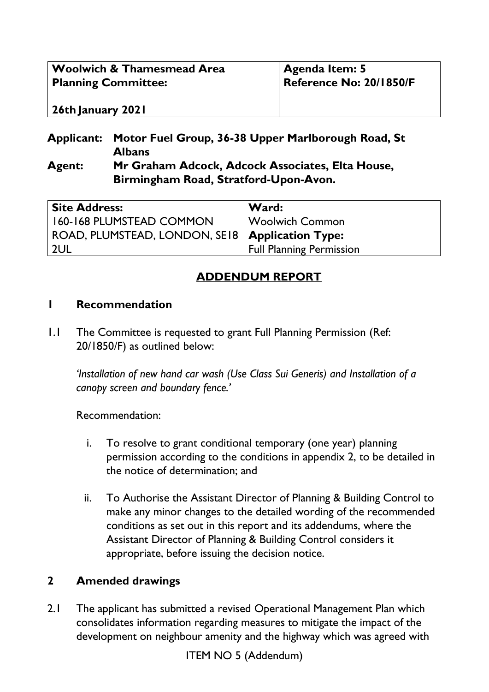| <b>Woolwich &amp; Thamesmead Area</b> | <b>Agenda Item: 5</b>   |
|---------------------------------------|-------------------------|
| <b>Planning Committee:</b>            | Reference No: 20/1850/F |
| 26th January 2021                     |                         |

#### **Applicant: Motor Fuel Group, 36-38 Upper Marlborough Road, St Albans Agent: Mr Graham Adcock, Adcock Associates, Elta House, Birmingham Road, Stratford-Upon-Avon.**

| <b>Site Address:</b>                              | Ward:                           |
|---------------------------------------------------|---------------------------------|
| 160-168 PLUMSTEAD COMMON                          | Woolwich Common                 |
| ROAD, PLUMSTEAD, LONDON, SE18   Application Type: |                                 |
| 2UL                                               | <b>Full Planning Permission</b> |

# **ADDENDUM REPORT**

#### **1 Recommendation**

1.1 The Committee is requested to grant Full Planning Permission (Ref: 20/1850/F) as outlined below:

*'Installation of new hand car wash (Use Class Sui Generis) and Installation of a canopy screen and boundary fence.'* 

Recommendation:

- i. To resolve to grant conditional temporary (one year) planning permission according to the conditions in appendix 2, to be detailed in the notice of determination; and
- ii. To Authorise the Assistant Director of Planning & Building Control to make any minor changes to the detailed wording of the recommended conditions as set out in this report and its addendums, where the Assistant Director of Planning & Building Control considers it appropriate, before issuing the decision notice.

### **2 Amended drawings**

2.1 The applicant has submitted a revised Operational Management Plan which consolidates information regarding measures to mitigate the impact of the development on neighbour amenity and the highway which was agreed with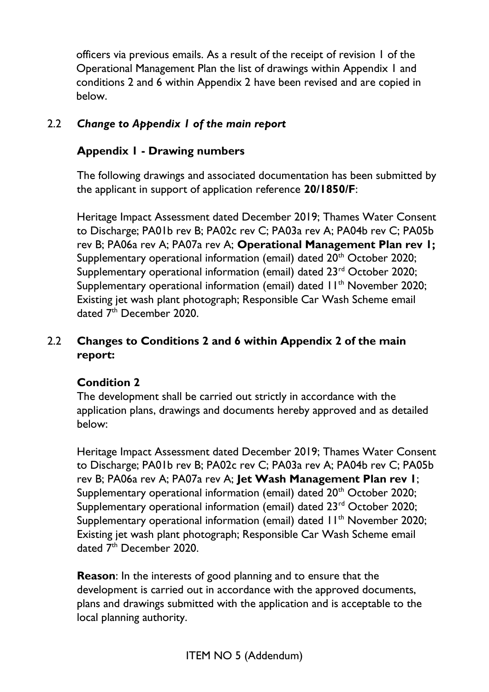officers via previous emails. As a result of the receipt of revision 1 of the Operational Management Plan the list of drawings within Appendix 1 and conditions 2 and 6 within Appendix 2 have been revised and are copied in below.

### 2.2 *Change to Appendix 1 of the main report*

### **Appendix 1 - Drawing numbers**

The following drawings and associated documentation has been submitted by the applicant in support of application reference **20/1850/F**:

Heritage Impact Assessment dated December 2019; Thames Water Consent to Discharge; PA01b rev B; PA02c rev C; PA03a rev A; PA04b rev C; PA05b rev B; PA06a rev A; PA07a rev A; **Operational Management Plan rev 1;** Supplementary operational information (email) dated 20<sup>th</sup> October 2020; Supplementary operational information (email) dated 23<sup>rd</sup> October 2020; Supplementary operational information (email) dated 11<sup>th</sup> November 2020; Existing jet wash plant photograph; Responsible Car Wash Scheme email dated 7<sup>th</sup> December 2020.

### 2.2 **Changes to Conditions 2 and 6 within Appendix 2 of the main report:**

### **Condition 2**

The development shall be carried out strictly in accordance with the application plans, drawings and documents hereby approved and as detailed below:

Heritage Impact Assessment dated December 2019; Thames Water Consent to Discharge; PA01b rev B; PA02c rev C; PA03a rev A; PA04b rev C; PA05b rev B; PA06a rev A; PA07a rev A; **Jet Wash Management Plan rev 1**; Supplementary operational information (email) dated 20<sup>th</sup> October 2020; Supplementary operational information (email) dated 23<sup>rd</sup> October 2020; Supplementary operational information (email) dated 11<sup>th</sup> November 2020; Existing jet wash plant photograph; Responsible Car Wash Scheme email dated 7<sup>th</sup> December 2020.

**Reason**: In the interests of good planning and to ensure that the development is carried out in accordance with the approved documents, plans and drawings submitted with the application and is acceptable to the local planning authority.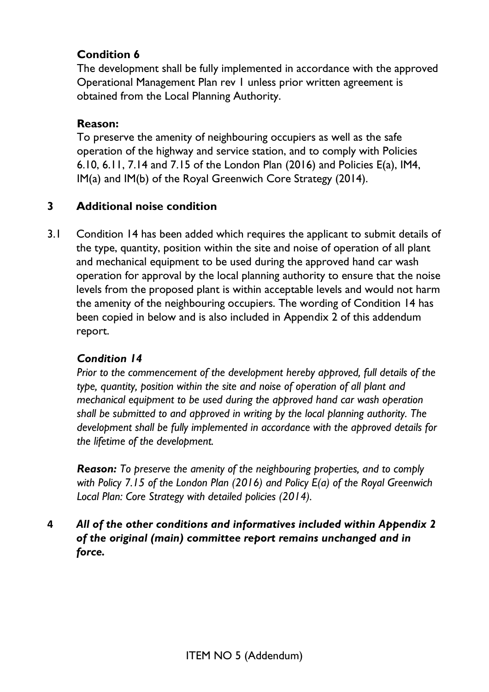### **Condition 6**

The development shall be fully implemented in accordance with the approved Operational Management Plan rev 1 unless prior written agreement is obtained from the Local Planning Authority.

### **Reason:**

To preserve the amenity of neighbouring occupiers as well as the safe operation of the highway and service station, and to comply with Policies 6.10, 6.11, 7.14 and 7.15 of the London Plan (2016) and Policies E(a), IM4, IM(a) and IM(b) of the Royal Greenwich Core Strategy (2014).

## **3 Additional noise condition**

3.1 Condition 14 has been added which requires the applicant to submit details of the type, quantity, position within the site and noise of operation of all plant and mechanical equipment to be used during the approved hand car wash operation for approval by the local planning authority to ensure that the noise levels from the proposed plant is within acceptable levels and would not harm the amenity of the neighbouring occupiers. The wording of Condition 14 has been copied in below and is also included in Appendix 2 of this addendum report.

## *Condition 14*

*Prior to the commencement of the development hereby approved, full details of the type, quantity, position within the site and noise of operation of all plant and mechanical equipment to be used during the approved hand car wash operation shall be submitted to and approved in writing by the local planning authority. The development shall be fully implemented in accordance with the approved details for the lifetime of the development.* 

*Reason: To preserve the amenity of the neighbouring properties, and to comply with Policy 7.15 of the London Plan (2016) and Policy E(a) of the Royal Greenwich Local Plan: Core Strategy with detailed policies (2014).* 

**4** *All of the other conditions and informatives included within Appendix 2 of the original (main) committee report remains unchanged and in force.*